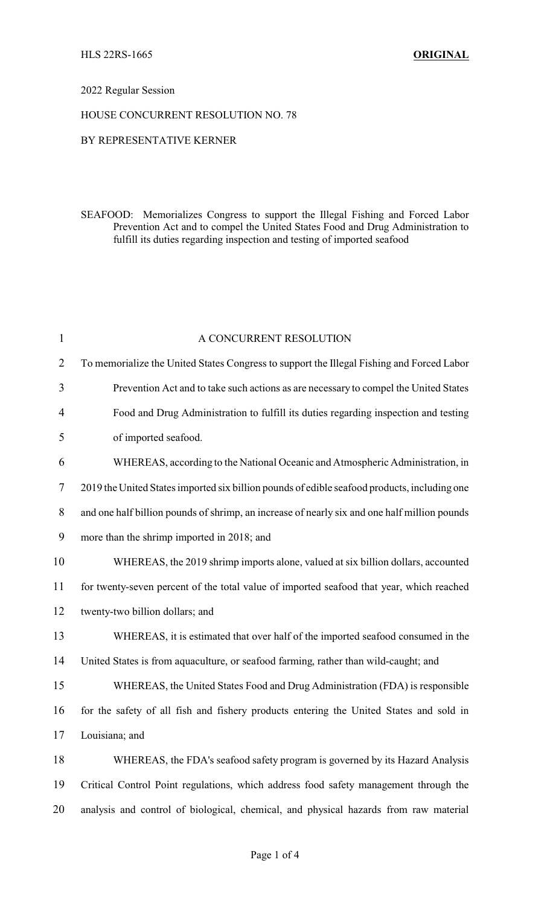## 2022 Regular Session

## HOUSE CONCURRENT RESOLUTION NO. 78

## BY REPRESENTATIVE KERNER

SEAFOOD: Memorializes Congress to support the Illegal Fishing and Forced Labor Prevention Act and to compel the United States Food and Drug Administration to fulfill its duties regarding inspection and testing of imported seafood

| $\mathbf{1}$   | A CONCURRENT RESOLUTION                                                                      |
|----------------|----------------------------------------------------------------------------------------------|
| $\overline{2}$ | To memorialize the United States Congress to support the Illegal Fishing and Forced Labor    |
| 3              | Prevention Act and to take such actions as are necessary to compel the United States         |
| $\overline{4}$ | Food and Drug Administration to fulfill its duties regarding inspection and testing          |
| 5              | of imported seafood.                                                                         |
| 6              | WHEREAS, according to the National Oceanic and Atmospheric Administration, in                |
| 7              | 2019 the United States imported six billion pounds of edible seafood products, including one |
| 8              | and one half billion pounds of shrimp, an increase of nearly six and one half million pounds |
| 9              | more than the shrimp imported in 2018; and                                                   |
| 10             | WHEREAS, the 2019 shrimp imports alone, valued at six billion dollars, accounted             |
| 11             | for twenty-seven percent of the total value of imported seafood that year, which reached     |
| 12             | twenty-two billion dollars; and                                                              |
| 13             | WHEREAS, it is estimated that over half of the imported seafood consumed in the              |
| 14             | United States is from aquaculture, or seafood farming, rather than wild-caught; and          |
| 15             | WHEREAS, the United States Food and Drug Administration (FDA) is responsible                 |
| 16             | for the safety of all fish and fishery products entering the United States and sold in       |
| 17             | Louisiana; and                                                                               |
| 18             | WHEREAS, the FDA's seafood safety program is governed by its Hazard Analysis                 |
| 19             | Critical Control Point regulations, which address food safety management through the         |
| 20             | analysis and control of biological, chemical, and physical hazards from raw material         |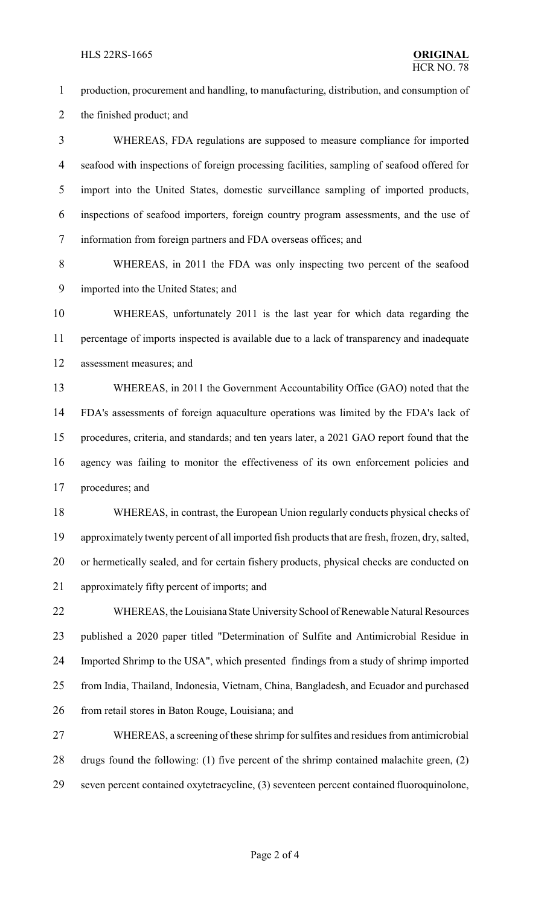production, procurement and handling, to manufacturing, distribution, and consumption of the finished product; and WHEREAS, FDA regulations are supposed to measure compliance for imported seafood with inspections of foreign processing facilities, sampling of seafood offered for import into the United States, domestic surveillance sampling of imported products, inspections of seafood importers, foreign country program assessments, and the use of information from foreign partners and FDA overseas offices; and WHEREAS, in 2011 the FDA was only inspecting two percent of the seafood imported into the United States; and WHEREAS, unfortunately 2011 is the last year for which data regarding the percentage of imports inspected is available due to a lack of transparency and inadequate assessment measures; and WHEREAS, in 2011 the Government Accountability Office (GAO) noted that the FDA's assessments of foreign aquaculture operations was limited by the FDA's lack of procedures, criteria, and standards; and ten years later, a 2021 GAO report found that the agency was failing to monitor the effectiveness of its own enforcement policies and procedures; and WHEREAS, in contrast, the European Union regularly conducts physical checks of approximately twenty percent of all imported fish products that are fresh, frozen, dry, salted, or hermetically sealed, and for certain fishery products, physical checks are conducted on approximately fifty percent of imports; and 22 WHEREAS, the Louisiana State University School of Renewable Natural Resources published a 2020 paper titled "Determination of Sulfite and Antimicrobial Residue in Imported Shrimp to the USA", which presented findings from a study of shrimp imported from India, Thailand, Indonesia, Vietnam, China, Bangladesh, and Ecuador and purchased 26 from retail stores in Baton Rouge, Louisiana; and WHEREAS, a screening of these shrimp for sulfites and residues from antimicrobial drugs found the following: (1) five percent of the shrimp contained malachite green, (2) seven percent contained oxytetracycline, (3) seventeen percent contained fluoroquinolone,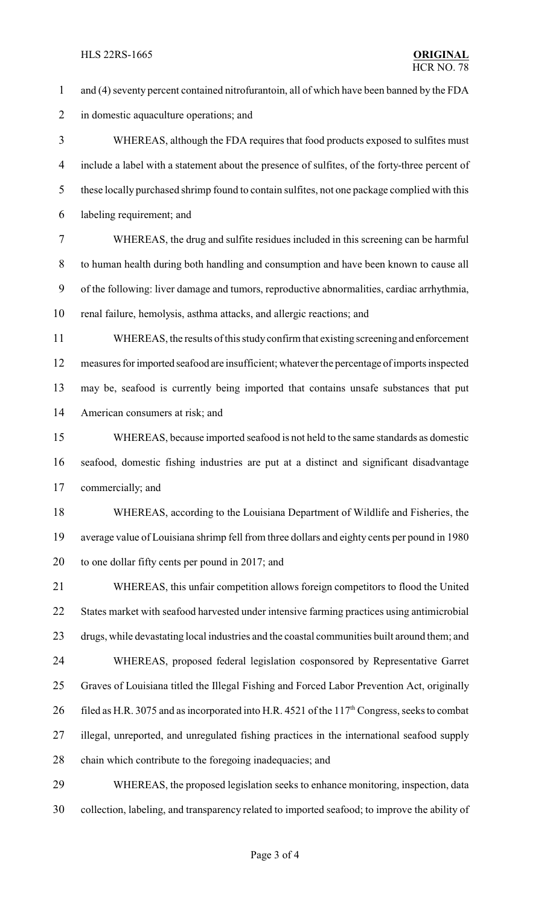and (4) seventy percent contained nitrofurantoin, all of which have been banned by the FDA in domestic aquaculture operations; and WHEREAS, although the FDA requires that food products exposed to sulfites must include a label with a statement about the presence of sulfites, of the forty-three percent of 5 these locally purchased shrimp found to contain sulfites, not one package complied with this labeling requirement; and WHEREAS, the drug and sulfite residues included in this screening can be harmful to human health during both handling and consumption and have been known to cause all of the following: liver damage and tumors, reproductive abnormalities, cardiac arrhythmia, renal failure, hemolysis, asthma attacks, and allergic reactions; and WHEREAS, the results of this studyconfirm that existing screeningand enforcement measures for imported seafood are insufficient; whatever the percentage of imports inspected may be, seafood is currently being imported that contains unsafe substances that put American consumers at risk; and WHEREAS, because imported seafood is not held to the same standards as domestic seafood, domestic fishing industries are put at a distinct and significant disadvantage commercially; and WHEREAS, according to the Louisiana Department of Wildlife and Fisheries, the average value of Louisiana shrimp fell from three dollars and eighty cents per pound in 1980 to one dollar fifty cents per pound in 2017; and WHEREAS, this unfair competition allows foreign competitors to flood the United States market with seafood harvested under intensive farming practices using antimicrobial drugs, while devastating local industries and the coastal communities built around them; and WHEREAS, proposed federal legislation cosponsored by Representative Garret Graves of Louisiana titled the Illegal Fishing and Forced Labor Prevention Act, originally 26 filed as H.R. 3075 and as incorporated into H.R. 4521 of the 117<sup>th</sup> Congress, seeks to combat illegal, unreported, and unregulated fishing practices in the international seafood supply chain which contribute to the foregoing inadequacies; and WHEREAS, the proposed legislation seeks to enhance monitoring, inspection, data

collection, labeling, and transparency related to imported seafood; to improve the ability of